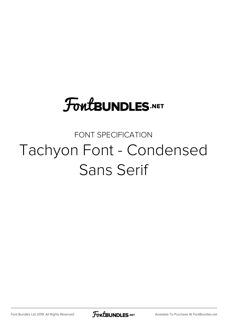### **FoutBUNDLES.NET**

#### FONT SPECIFICATION Tachyon Font - Condensed Sans Serif

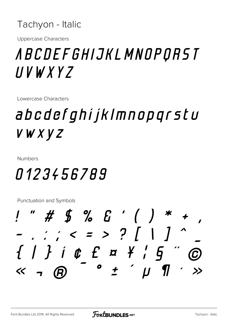#### Tachyon - Italic

**Uppercase Characters** 

### *ABCDEFGHIJKLMNOPQRST*  $UVWXYZ$

Lowercase Characters

### abcdefghijklmnopqrstu VWXVZ

**Numbers** 

#### 0123456789

 $"$  # \$ % & ' ( )  $\therefore$   $\therefore$   $\leq$   $\geq$   $\supset$   $\bigcup$   $\bigcup$  $\{\quad \}$  i  $\mathfrak o$  f  $\mathfrak a$   $\mathfrak s$  i  $\mathfrak s$  f  $\overline{\phantom{a}}$  $\bullet$  $\frac{1}{\sqrt{2}}$  $\mathcal{H}$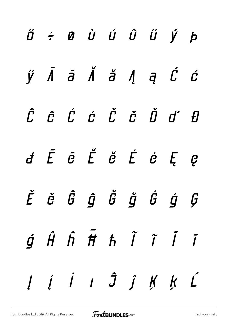|  |  |  | $\acute{\theta}$ $\acute{e}$ $\theta$ $\dot{\theta}$ $\acute{\theta}$ $\acute{\theta}$ $\acute{\theta}$ $\acute{\theta}$                                                |  |
|--|--|--|-------------------------------------------------------------------------------------------------------------------------------------------------------------------------|--|
|  |  |  | $\acute{\textbf{y}}$ $\tilde{\textbf{A}}$ $\tilde{\textbf{a}}$ $\tilde{\textbf{A}}$ $\tilde{\textbf{a}}$ $\tilde{\textbf{A}}$ $\tilde{\textbf{c}}$ $\tilde{\textbf{c}}$ |  |
|  |  |  | ĈĈĆĆČČĎďĐ                                                                                                                                                               |  |
|  |  |  | d Ē ē Ĕ ĕ Ė é Ę ę                                                                                                                                                       |  |
|  |  |  | Ěě Ĝĝ Ğ ğ ģ ģ Ģ                                                                                                                                                         |  |
|  |  |  | $\acute{g}$ $\hat{H}$ $\acute{h}$ $\tilde{H}$ $\hbar$ $\tilde{I}$ $\tilde{I}$ $\tilde{I}$                                                                               |  |
|  |  |  | $l \quad i \quad l \quad J \quad \hat{J} \quad f \quad K \quad K \quad L$                                                                                               |  |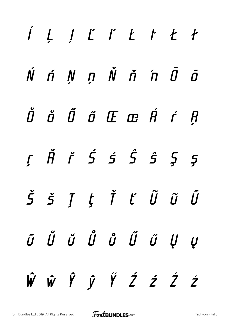## *ĺ Ļ ļ Ľ ľ Ŀ ŀ Ł ł Ń ń Ņ ņ Ň ň 'n Ō ō Ŏ ŏ Ő ő Œ œ Ŕ ŕ Ŗ ŗ Ř ř Ś ś Ŝ ŝ Ş ş Š š Ţ ţ Ť ť Ũ ũ Ū ū Ŭ ŭ Ů ů Ű ű Ų ų Ŵ ŵ Ŷ ŷ Ÿ Ź ź Ż ż*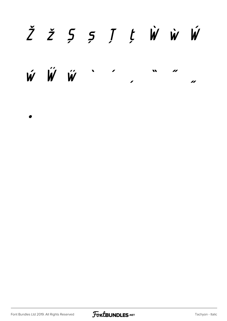### ŽŽ55JtŴŴ

 $\boldsymbol{\acute{w}}$   $\boldsymbol{\acute{w}}$   $\boldsymbol{\acute{w}}$  $\boldsymbol{H}$ u  $\sqrt{2}$  $\overline{\mathbf{z}}$ 

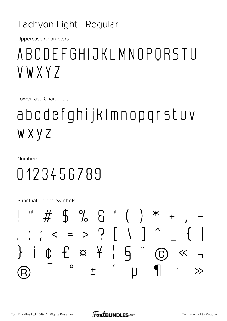#### Tachyon Light - Regular

**Uppercase Characters** 

### ABCDEFGHIJKLMNOPORSTU VWXY7

Lowercase Characters

### abcdefghijklmnopgrstuv WXYZ

**Numbers** 

### 0123456789

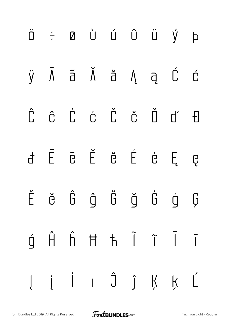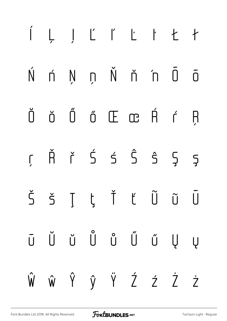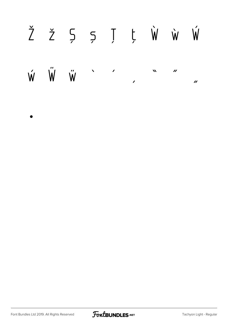# ŽŽ Š S J Ļ Ŵ Ŵ

 $\dot{\mathsf{W}}$ Ŵ  $\ddot{\mathsf{W}}$  $\sqrt{2}$  $\mathbf{v}$  $\boldsymbol{\mathcal{N}}$  $\boldsymbol{\prime\prime}$  $\overline{\phantom{a}}$  $\boldsymbol{\prime}$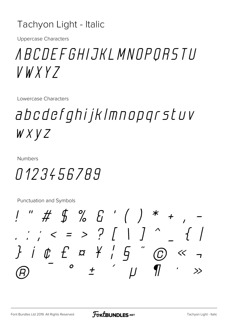#### Tachyon Light - Italic

**Uppercase Characters** 

### *ABCDEFGHIJKLMNOPORSTU*  $V$ WXYZ

Lowercase Characters

### abcdefghijklmnopgrstuv  $W X V Z$

**Numbers** 

#### 0123456789

 $''$  # \$ % & '( )  $\frac{1}{2}$   $\frac{1}{2}$   $\frac{1}{2}$   $\frac{1}{2}$   $\frac{1}{2}$   $\frac{1}{2}$   $\frac{1}{2}$   $\frac{1}{2}$   $\frac{1}{2}$   $\frac{1}{2}$   $\frac{1}{2}$   $\frac{1}{2}$   $\frac{1}{2}$   $\frac{1}{2}$   $\frac{1}{2}$   $\frac{1}{2}$   $\frac{1}{2}$   $\frac{1}{2}$   $\frac{1}{2}$   $\frac{1}{2}$   $\frac{1}{2}$   $\frac{1}{2}$   $\sqrt{2}$  $}$  iff  $f$   $\alpha$   $f$   $f$  $\mathbf O$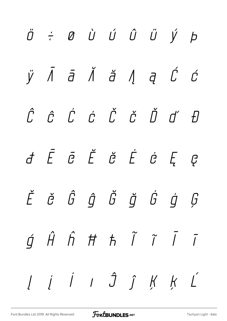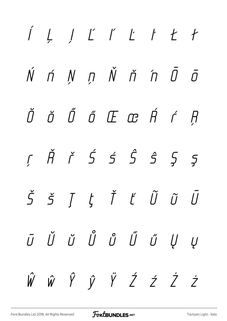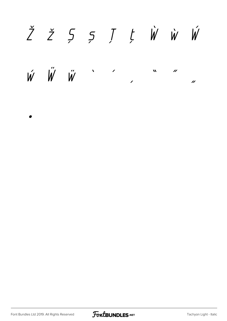### ŽŽ Š S J L W W W

 $\acute{w}$   $\acute{w}$   $\acute{w}$  $\bar{\mathbf{v}}$  $\boldsymbol{\mathcal{M}}$  $\overline{\mu}$  $\overline{\phantom{a}}$  $\overline{\mu}$ 

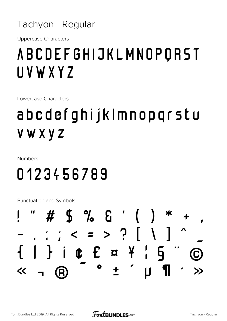

**Uppercase Characters** 

### **ABCDEFGHIJKLMNOPQRST** UVWXYZ

Lowercase Characters

### abcdefghijklmnopgrstu **VWXYZ**

**Numbers** 

### 0123456789

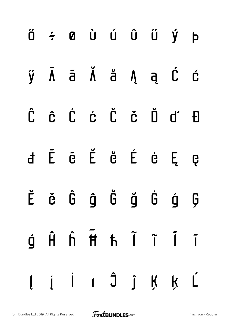|  |  |  | ÿ Ā ā Ă ă Ą ą Ć ć                                                                                                          |  |
|--|--|--|----------------------------------------------------------------------------------------------------------------------------|--|
|  |  |  | Ĉ Ĉ Ć Ć Č Č Ď ď Đ                                                                                                          |  |
|  |  |  | d Ē ē Ĕ ĕ É é Ę ę                                                                                                          |  |
|  |  |  | Ěě Ĝ ĝ Ğ ğ Ġ ģ Ģ                                                                                                           |  |
|  |  |  | $\begin{array}{ccccccccccccc}\n\bullet & \hat{H} & \hat{H} & \hat{H} & \hat{H} & \hat{I} & \hat{I} & \hat{I}\n\end{array}$ |  |
|  |  |  | $l \quad i \quad l \quad l \quad \hat{J} \quad \hat{J} \quad K \quad K \quad \hat{L}$                                      |  |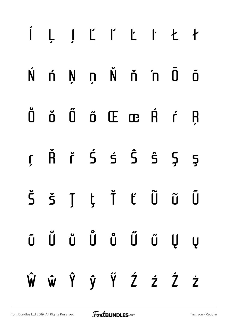## ĺ Ļ ļ Ľ ľ Ŀ ŀ Ł ł Ń ń Ņ ņ Ň ň 'n Ō ō Ŏ ŏ Ő ő Œ œ Ŕ ŕ Ŗ ŗ Ř ř Ś ś Ŝ ŝ Ş ş Š š Ţ ţ Ť ť Ũ ũ Ū ū Ŭ ŭ Ů ů Ű ű Ų ų Ŵ ŵ Ŷ ŷ Ÿ Ź ź Ż ż